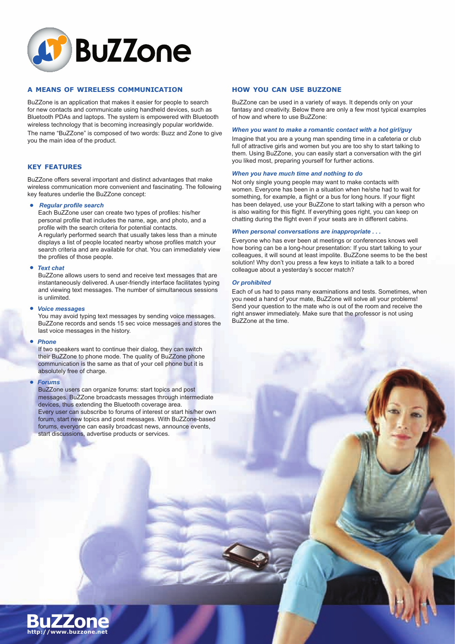

## **A MEANS OF WIRELESS COMMUNICATION**

BuZZone is an application that makes it easier for people to search for new contacts and communicate using handheld devices, such as Bluetooth PDAs and laptops. The system is empowered with Bluetooth wireless technology that is becoming increasingly popular worldwide. The name "BuZZone" is composed of two words: Buzz and Zone to give you the main idea of the product.

## **KEY FEATURES**

BuZZone offers several important and distinct advantages that make wireless communication more convenient and fascinating. The following key features underlie the BuZZone concept:

## *Regular profile search*

Each BuZZone user can create two types of profiles: his/her personal profile that includes the name, age, and photo, and a profile with the search criteria for potential contacts. A regularly performed search that usually takes less than a minute

displays a list of people located nearby whose profiles match your search criteria and are available for chat. You can immediately view the profiles of those people.

## *Text chat*

BuZZone allows users to send and receive text messages that are instantaneously delivered. A user-friendly interface facilitates typing and viewing text messages. The number of simultaneous sessions is unlimited.

## *Voice messages*

You may avoid typing text messages by sending voice messages. BuZZone records and sends 15 sec voice messages and stores the last voice messages in the history.

## *Phone*

If two speakers want to continue their dialog, they can switch their BuZZone to phone mode. The quality of BuZZone phone communication is the same as that of your cell phone but it is absolutely free of charge.

#### *Forums*

BuZZone users can organize forums: start topics and post messages. BuZZone broadcasts messages through intermediate devices, thus extending the Bluetooth coverage area. Every user can subscribe to forums of interest or start his/her own forum, start new topics and post messages. With BuZZone-based forums, everyone can easily broadcast news, announce events, start discussions, advertise products or services.

## **HOW YOU CAN USE BUZZONE**

BuZZone can be used in a variety of ways. It depends only on your fantasy and creativity. Below there are only a few most typical examples of how and where to use BuZZone:

#### *When you want to make a romantic contact with a hot girl/guy*

Imagine that you are a young man spending time in a cafeteria or club full of attractive girls and women but you are too shy to start talking to them. Using BuZZone, you can easily start a conversation with the girl you liked most, preparing yourself for further actions.

## *When you have much time and nothing to do*

Not only single young people may want to make contacts with women. Everyone has been in a situation when he/she had to wait for something, for example, a flight or a bus for long hours. If your flight has been delayed, use your BuZZone to start talking with a person who is also waiting for this flight. If everything goes right, you can keep on chatting during the flight even if your seats are in different cabins.

### *When personal conversations are inappropriate . . .*

Everyone who has ever been at meetings or conferences knows well how boring can be a long-hour presentation: If you start talking to your colleagues, it will sound at least impolite. BuZZone seems to be the best solution! Why don't you press a few keys to initiate a talk to a bored colleague about a yesterday's soccer match?

### *Or prohibited*

Each of us had to pass many examinations and tests. Sometimes, when you need a hand of your mate, BuZZone will solve all your problems! Send your question to the mate who is out of the room and receive the right answer immediately. Make sure that the professor is not using BuZZone at the time.